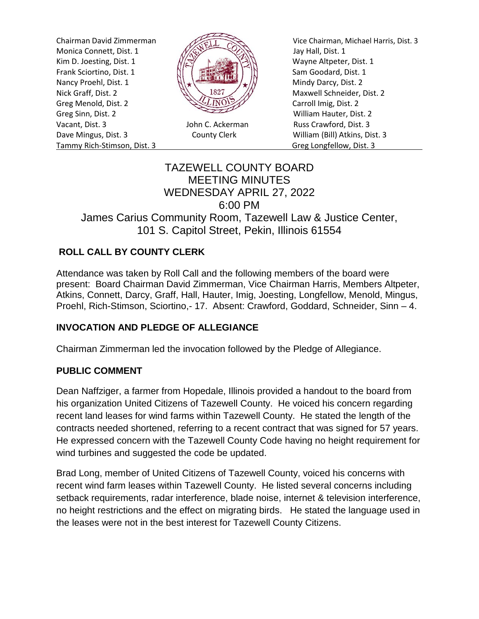Monica Connett, Dist. 1  $\frac{1}{\sqrt{2}}$  Jay Hall, Dist. 1 Kim D. Joesting, Dist. 1  $\sqrt{|\mathcal{R}|}$  N Wayne Altpeter, Dist. 1 Frank Sciortino, Dist. 1  $\left[\begin{array}{cc} \begin{array}{ccc} \dots & \dots & \dots \\ \dots & \dots & \dots \end{array} \right] & \begin{array}{ccc} \dots & \dots & \dots \\ \dots & \dots & \dots \end{array} \end{array} \right]$  Sam Goodard, Dist. 1 Nancy Proehl, Dist. 1  $\left\| \cdot \right\|$ Nick Graff, Dist. 2  $\mathbb{N}\setminus\mathbb{R}^2$  Maxwell Schneider, Dist. 2 Greg Menold, Dist. 2 **Carroll Imig, Dist. 2** Carroll Imig, Dist. 2 Greg Sinn, Dist. 2 William Hauter, Dist. 2 Vacant, Dist. 3 John C. Ackerman Russ Crawford, Dist. 3 Dave Mingus, Dist. 3 County Clerk William (Bill) Atkins, Dist. 3 Tammy Rich-Stimson, Dist. 3 Greg Longfellow, Dist. 3



Chairman David Zimmerman Vice Chairman, Michael Harris, Dist. 3

# TAZEWELL COUNTY BOARD MEETING MINUTES WEDNESDAY APRIL 27, 2022 6:00 PM James Carius Community Room, Tazewell Law & Justice Center, 101 S. Capitol Street, Pekin, Illinois 61554

# **ROLL CALL BY COUNTY CLERK**

Attendance was taken by Roll Call and the following members of the board were present: Board Chairman David Zimmerman, Vice Chairman Harris, Members Altpeter, Atkins, Connett, Darcy, Graff, Hall, Hauter, Imig, Joesting, Longfellow, Menold, Mingus, Proehl, Rich-Stimson, Sciortino,- 17. Absent: Crawford, Goddard, Schneider, Sinn – 4.

### **INVOCATION AND PLEDGE OF ALLEGIANCE**

Chairman Zimmerman led the invocation followed by the Pledge of Allegiance.

#### **PUBLIC COMMENT**

Dean Naffziger, a farmer from Hopedale, Illinois provided a handout to the board from his organization United Citizens of Tazewell County. He voiced his concern regarding recent land leases for wind farms within Tazewell County. He stated the length of the contracts needed shortened, referring to a recent contract that was signed for 57 years. He expressed concern with the Tazewell County Code having no height requirement for wind turbines and suggested the code be updated.

Brad Long, member of United Citizens of Tazewell County, voiced his concerns with recent wind farm leases within Tazewell County. He listed several concerns including setback requirements, radar interference, blade noise, internet & television interference, no height restrictions and the effect on migrating birds. He stated the language used in the leases were not in the best interest for Tazewell County Citizens.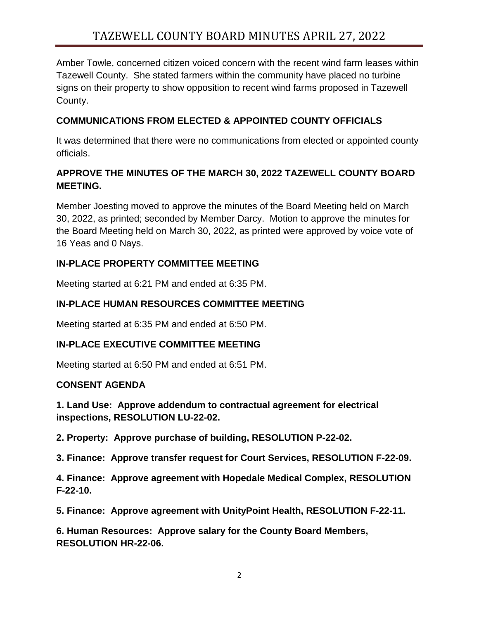Amber Towle, concerned citizen voiced concern with the recent wind farm leases within Tazewell County. She stated farmers within the community have placed no turbine signs on their property to show opposition to recent wind farms proposed in Tazewell County.

### **COMMUNICATIONS FROM ELECTED & APPOINTED COUNTY OFFICIALS**

It was determined that there were no communications from elected or appointed county officials.

# **APPROVE THE MINUTES OF THE MARCH 30, 2022 TAZEWELL COUNTY BOARD MEETING.**

Member Joesting moved to approve the minutes of the Board Meeting held on March 30, 2022, as printed; seconded by Member Darcy. Motion to approve the minutes for the Board Meeting held on March 30, 2022, as printed were approved by voice vote of 16 Yeas and 0 Nays.

### **IN-PLACE PROPERTY COMMITTEE MEETING**

Meeting started at 6:21 PM and ended at 6:35 PM.

# **IN-PLACE HUMAN RESOURCES COMMITTEE MEETING**

Meeting started at 6:35 PM and ended at 6:50 PM.

### **IN-PLACE EXECUTIVE COMMITTEE MEETING**

Meeting started at 6:50 PM and ended at 6:51 PM.

### **CONSENT AGENDA**

**1. Land Use: Approve addendum to contractual agreement for electrical inspections, RESOLUTION LU-22-02.** 

**2. Property: Approve purchase of building, RESOLUTION P-22-02.** 

**3. Finance: Approve transfer request for Court Services, RESOLUTION F-22-09.** 

**4. Finance: Approve agreement with Hopedale Medical Complex, RESOLUTION F-22-10.** 

**5. Finance: Approve agreement with UnityPoint Health, RESOLUTION F-22-11.** 

**6. Human Resources: Approve salary for the County Board Members, RESOLUTION HR-22-06.**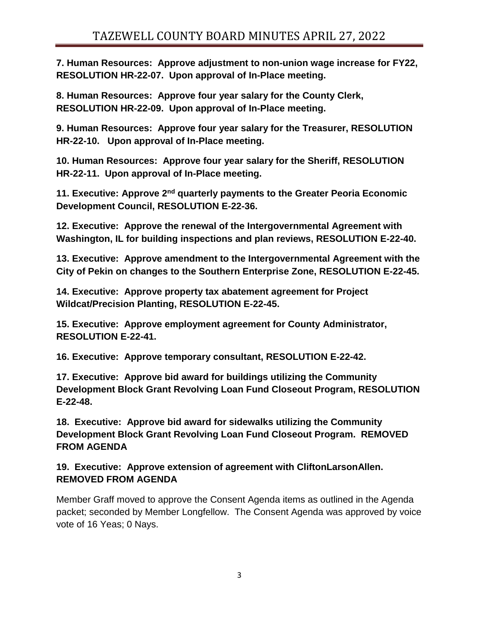**7. Human Resources: Approve adjustment to non-union wage increase for FY22, RESOLUTION HR-22-07. Upon approval of In-Place meeting.**

**8. Human Resources: Approve four year salary for the County Clerk, RESOLUTION HR-22-09. Upon approval of In-Place meeting.**

**9. Human Resources: Approve four year salary for the Treasurer, RESOLUTION HR-22-10. Upon approval of In-Place meeting.**

**10. Human Resources: Approve four year salary for the Sheriff, RESOLUTION HR-22-11. Upon approval of In-Place meeting.**

**11. Executive: Approve 2nd quarterly payments to the Greater Peoria Economic Development Council, RESOLUTION E-22-36.** 

**12. Executive: Approve the renewal of the Intergovernmental Agreement with Washington, IL for building inspections and plan reviews, RESOLUTION E-22-40.** 

**13. Executive: Approve amendment to the Intergovernmental Agreement with the City of Pekin on changes to the Southern Enterprise Zone, RESOLUTION E-22-45.** 

**14. Executive: Approve property tax abatement agreement for Project Wildcat/Precision Planting, RESOLUTION E-22-45.** 

**15. Executive: Approve employment agreement for County Administrator, RESOLUTION E-22-41.** 

**16. Executive: Approve temporary consultant, RESOLUTION E-22-42.** 

**17. Executive: Approve bid award for buildings utilizing the Community Development Block Grant Revolving Loan Fund Closeout Program, RESOLUTION E-22-48.** 

**18. Executive: Approve bid award for sidewalks utilizing the Community Development Block Grant Revolving Loan Fund Closeout Program. REMOVED FROM AGENDA**

**19. Executive: Approve extension of agreement with CliftonLarsonAllen. REMOVED FROM AGENDA**

Member Graff moved to approve the Consent Agenda items as outlined in the Agenda packet; seconded by Member Longfellow. The Consent Agenda was approved by voice vote of 16 Yeas; 0 Nays.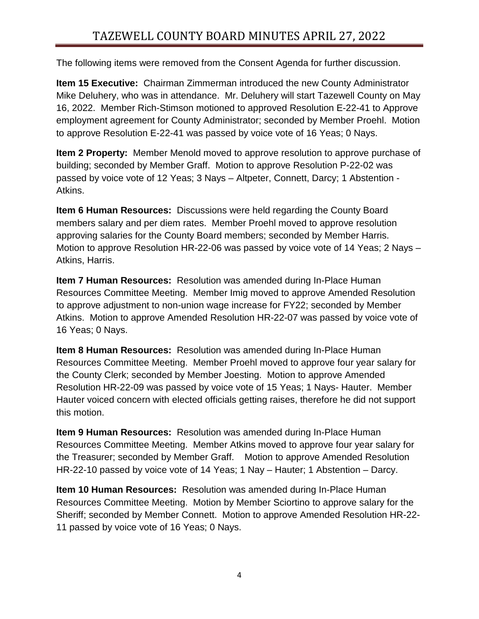The following items were removed from the Consent Agenda for further discussion.

**Item 15 Executive:** Chairman Zimmerman introduced the new County Administrator Mike Deluhery, who was in attendance. Mr. Deluhery will start Tazewell County on May 16, 2022. Member Rich-Stimson motioned to approved Resolution E-22-41 to Approve employment agreement for County Administrator; seconded by Member Proehl. Motion to approve Resolution E-22-41 was passed by voice vote of 16 Yeas; 0 Nays.

**Item 2 Property:** Member Menold moved to approve resolution to approve purchase of building; seconded by Member Graff. Motion to approve Resolution P-22-02 was passed by voice vote of 12 Yeas; 3 Nays – Altpeter, Connett, Darcy; 1 Abstention - Atkins.

**Item 6 Human Resources:** Discussions were held regarding the County Board members salary and per diem rates. Member Proehl moved to approve resolution approving salaries for the County Board members; seconded by Member Harris. Motion to approve Resolution HR-22-06 was passed by voice vote of 14 Yeas; 2 Nays – Atkins, Harris.

**Item 7 Human Resources:** Resolution was amended during In-Place Human Resources Committee Meeting. Member Imig moved to approve Amended Resolution to approve adjustment to non-union wage increase for FY22; seconded by Member Atkins. Motion to approve Amended Resolution HR-22-07 was passed by voice vote of 16 Yeas; 0 Nays.

**Item 8 Human Resources:** Resolution was amended during In-Place Human Resources Committee Meeting. Member Proehl moved to approve four year salary for the County Clerk; seconded by Member Joesting. Motion to approve Amended Resolution HR-22-09 was passed by voice vote of 15 Yeas; 1 Nays- Hauter. Member Hauter voiced concern with elected officials getting raises, therefore he did not support this motion.

**Item 9 Human Resources:** Resolution was amended during In-Place Human Resources Committee Meeting. Member Atkins moved to approve four year salary for the Treasurer; seconded by Member Graff. Motion to approve Amended Resolution HR-22-10 passed by voice vote of 14 Yeas; 1 Nay – Hauter; 1 Abstention – Darcy.

**Item 10 Human Resources:** Resolution was amended during In-Place Human Resources Committee Meeting. Motion by Member Sciortino to approve salary for the Sheriff; seconded by Member Connett. Motion to approve Amended Resolution HR-22- 11 passed by voice vote of 16 Yeas; 0 Nays.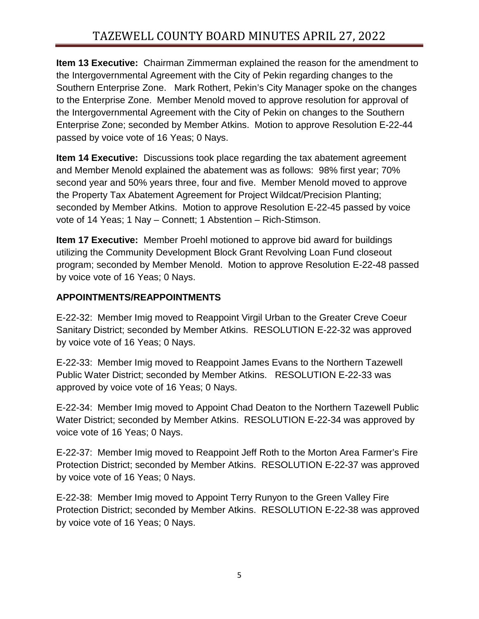**Item 13 Executive:** Chairman Zimmerman explained the reason for the amendment to the Intergovernmental Agreement with the City of Pekin regarding changes to the Southern Enterprise Zone. Mark Rothert, Pekin's City Manager spoke on the changes to the Enterprise Zone. Member Menold moved to approve resolution for approval of the Intergovernmental Agreement with the City of Pekin on changes to the Southern Enterprise Zone; seconded by Member Atkins. Motion to approve Resolution E-22-44 passed by voice vote of 16 Yeas; 0 Nays.

**Item 14 Executive:** Discussions took place regarding the tax abatement agreement and Member Menold explained the abatement was as follows: 98% first year; 70% second year and 50% years three, four and five. Member Menold moved to approve the Property Tax Abatement Agreement for Project Wildcat/Precision Planting; seconded by Member Atkins. Motion to approve Resolution E-22-45 passed by voice vote of 14 Yeas; 1 Nay – Connett; 1 Abstention – Rich-Stimson.

**Item 17 Executive:** Member Proehl motioned to approve bid award for buildings utilizing the Community Development Block Grant Revolving Loan Fund closeout program; seconded by Member Menold. Motion to approve Resolution E-22-48 passed by voice vote of 16 Yeas; 0 Nays.

### **APPOINTMENTS/REAPPOINTMENTS**

E-22-32: Member Imig moved to Reappoint Virgil Urban to the Greater Creve Coeur Sanitary District; seconded by Member Atkins. RESOLUTION E-22-32 was approved by voice vote of 16 Yeas; 0 Nays.

E-22-33: Member Imig moved to Reappoint James Evans to the Northern Tazewell Public Water District; seconded by Member Atkins. RESOLUTION E-22-33 was approved by voice vote of 16 Yeas; 0 Nays.

E-22-34: Member Imig moved to Appoint Chad Deaton to the Northern Tazewell Public Water District; seconded by Member Atkins. RESOLUTION E-22-34 was approved by voice vote of 16 Yeas; 0 Nays.

E-22-37: Member Imig moved to Reappoint Jeff Roth to the Morton Area Farmer's Fire Protection District; seconded by Member Atkins. RESOLUTION E-22-37 was approved by voice vote of 16 Yeas; 0 Nays.

E-22-38: Member Imig moved to Appoint Terry Runyon to the Green Valley Fire Protection District; seconded by Member Atkins. RESOLUTION E-22-38 was approved by voice vote of 16 Yeas; 0 Nays.